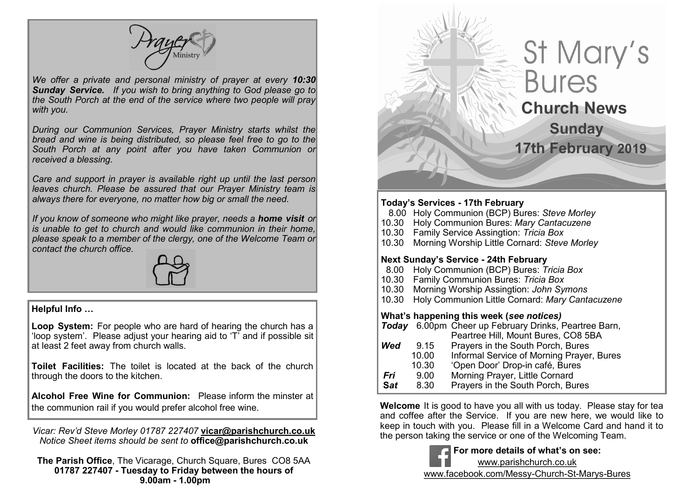*We offer a private and personal ministry of prayer at every 10:30 Sunday Service. If you wish to bring anything to God please go to the South Porch at the end of the service where two people will pray with you.*

*During our Communion Services, Prayer Ministry starts whilst the bread and wine is being distributed, so please feel free to go to the South Porch at any point after you have taken Communion or received a blessing.*

*Care and support in prayer is available right up until the last person leaves church. Please be assured that our Prayer Ministry team is always there for everyone, no matter how big or small the need.* 

*If you know of someone who might like prayer, needs a home visit or is unable to get to church and would like communion in their home, please speak to a member of the clergy, one of the Welcome Team or contact the church office.*



#### **Helpful Info …**

**Loop System:** For people who are hard of hearing the church has a 'loop system'. Please adjust your hearing aid to 'T' and if possible sit at least 2 feet away from church walls.

**Toilet Facilities:** The toilet is located at the back of the church through the doors to the kitchen.

**Alcohol Free Wine for Communion:** Please inform the minster at the communion rail if you would prefer alcohol free wine.

*Vicar: Rev'd Steve Morley 01787 227407* **vicar@parishchurch.co.uk** *Notice Sheet items should be sent to* **office@parishchurch.co.uk**

**The Parish Office**, The Vicarage, Church Square, Bures CO8 5AA **01787 227407 - Tuesday to Friday between the hours of 9.00am - 1.00pm**

# St Mary's **Bures Church News Sunday 17th February 2019Today's Services - 17th February** 8.00 Holy Communion (BCP) Bures: *Steve Morley*

10.30 Holy Communion Bures: *Mary Cantacuzene* 10.30 Family Service Assingtion: *Tricia Box* 10.30 Morning Worship Little Cornard: *Steve Morley* **Next Sunday's Service - 24th February** 8.00 Holy Communion (BCP) Bures: *Tricia Box* 10.30 Family Communion Bures: *Tricia Box* 10.30 Morning Worship Assingtion: *John Symons* 10.30 Holy Communion Little Cornard: *Mary Cantacuzene* **What's happening this week (***see notices) Today* 6.00pm Cheer up February Drinks, Peartree Barn, Peartree Hill, Mount Bures, CO8 5BA **Wed** 9.15 Prayers in the South Porch, Bures 10.00 Informal Service of Morning Prayer, Bures<br>10.30 'Open Door' Drop-in café. Bures 10.30 'Open Door' Drop-in café, Bures<br> 9.00 Morning Praver. Little Cornard **Fri** 9.00 Morning Prayer, Little Cornard<br>**Sat** 8.30 Prayers in the South Porch, Bu **S***at* 8.30 Prayers in the South Porch, Bures

 $\overline{\phantom{a}}$ 

**Welcome** It is good to have you all with us today. Please stay for tea and coffee after the Service. If you are new here, we would like to keep in touch with you. Please fill in a Welcome Card and hand it to the person taking the service or one of the Welcoming Team.

> **For more details of what's on see:** www.parishchurch.co.uk www.facebook.com/Messy-Church-St-Marys-Bures